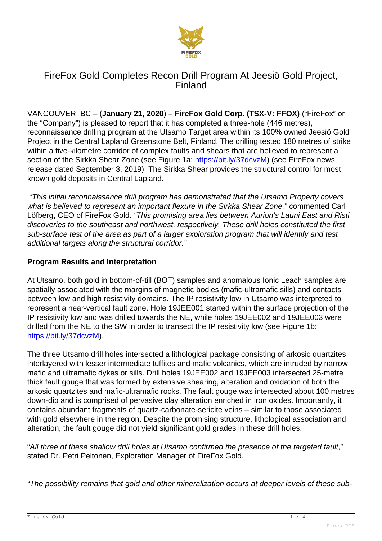

VANCOUVER, BC – (**January 21, 2020**) **– FireFox Gold Corp. (TSX-V: FFOX)** ("FireFox" or the "Company") is pleased to report that it has completed a three-hole (446 metres), reconnaissance drilling program at the Utsamo Target area within its 100% owned Jeesiö Gold Project in the Central Lapland Greenstone Belt, Finland. The drilling tested 180 metres of strike within a five-kilometre corridor of complex faults and shears that are believed to represent a section of the Sirkka Shear Zone (see Figure 1a: <https://bit.ly/37dcvzM>) (see FireFox news release dated September 3, 2019). The Sirkka Shear provides the structural control for most known gold deposits in Central Lapland.

 "This initial reconnaissance drill program has demonstrated that the Utsamo Property covers what is believed to represent an important flexure in the Sirkka Shear Zone," commented Carl Löfberg, CEO of FireFox Gold. "This promising area lies between Aurion's Launi East and Risti discoveries to the southeast and northwest, respectively. These drill holes constituted the first sub-surface test of the area as part of a larger exploration program that will identify and test additional targets along the structural corridor."

### **Program Results and Interpretation**

At Utsamo, both gold in bottom-of-till (BOT) samples and anomalous Ionic Leach samples are spatially associated with the margins of magnetic bodies (mafic-ultramafic sills) and contacts between low and high resistivity domains. The IP resistivity low in Utsamo was interpreted to represent a near-vertical fault zone. Hole 19JEE001 started within the surface projection of the IP resistivity low and was drilled towards the NE, while holes 19JEE002 and 19JEE003 were drilled from the NE to the SW in order to transect the IP resistivity low (see Figure 1b: [https://bit.ly/37dcvzM\)](https://bit.ly/37dcvzM).

The three Utsamo drill holes intersected a lithological package consisting of arkosic quartzites interlayered with lesser intermediate tuffites and mafic volcanics, which are intruded by narrow mafic and ultramafic dykes or sills. Drill holes 19JEE002 and 19JEE003 intersected 25-metre thick fault gouge that was formed by extensive shearing, alteration and oxidation of both the arkosic quartzites and mafic-ultramafic rocks. The fault gouge was intersected about 100 metres down-dip and is comprised of pervasive clay alteration enriched in iron oxides. Importantly, it contains abundant fragments of quartz-carbonate-sericite veins – similar to those associated with gold elsewhere in the region. Despite the promising structure, lithological association and alteration, the fault gouge did not yield significant gold grades in these drill holes.

"All three of these shallow drill holes at Utsamo confirmed the presence of the targeted fault," stated Dr. Petri Peltonen, Exploration Manager of FireFox Gold.

"The possibility remains that gold and other mineralization occurs at deeper levels of these sub-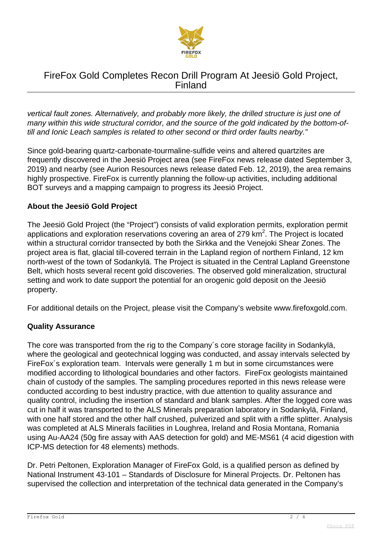

vertical fault zones. Alternatively, and probably more likely, the drilled structure is just one of many within this wide structural corridor, and the source of the gold indicated by the bottom-oftill and Ionic Leach samples is related to other second or third order faults nearby."

Since gold-bearing quartz-carbonate-tourmaline-sulfide veins and altered quartzites are frequently discovered in the Jeesiö Project area (see FireFox news release dated September 3, 2019) and nearby (see Aurion Resources news release dated Feb. 12, 2019), the area remains highly prospective. FireFox is currently planning the follow-up activities, including additional BOT surveys and a mapping campaign to progress its Jeesiö Project.

#### **About the Jeesiö Gold Project**

The Jeesiö Gold Project (the "Project") consists of valid exploration permits, exploration permit applications and exploration reservations covering an area of 279  $km^2$ . The Project is located within a structural corridor transected by both the Sirkka and the Venejoki Shear Zones. The project area is flat, glacial till-covered terrain in the Lapland region of northern Finland, 12 km north-west of the town of Sodankylä. The Project is situated in the Central Lapland Greenstone Belt, which hosts several recent gold discoveries. The observed gold mineralization, structural setting and work to date support the potential for an orogenic gold deposit on the Jeesiö property.

For additional details on the Project, please visit the Company's website www.firefoxgold.com.

#### **Quality Assurance**

The core was transported from the rig to the Company´s core storage facility in Sodankylä, where the geological and geotechnical logging was conducted, and assay intervals selected by FireFox´s exploration team. Intervals were generally 1 m but in some circumstances were modified according to lithological boundaries and other factors. FireFox geologists maintained chain of custody of the samples. The sampling procedures reported in this news release were conducted according to best industry practice, with due attention to quality assurance and quality control, including the insertion of standard and blank samples. After the logged core was cut in half it was transported to the ALS Minerals preparation laboratory in Sodankylä, Finland, with one half stored and the other half crushed, pulverized and split with a riffle splitter. Analysis was completed at ALS Minerals facilities in Loughrea, Ireland and Rosia Montana, Romania using Au-AA24 (50g fire assay with AAS detection for gold) and ME-MS61 (4 acid digestion with ICP-MS detection for 48 elements) methods.

Dr. Petri Peltonen, Exploration Manager of FireFox Gold, is a qualified person as defined by National Instrument 43-101 – Standards of Disclosure for Mineral Projects. Dr. Peltonen has supervised the collection and interpretation of the technical data generated in the Company's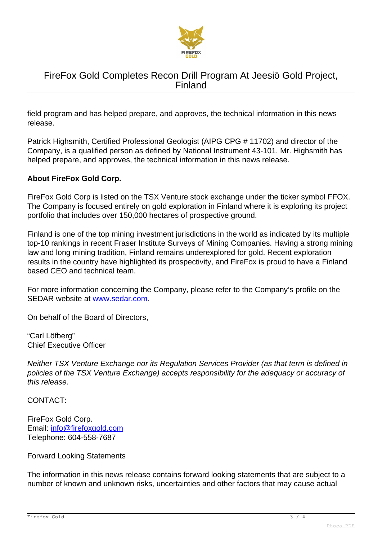

field program and has helped prepare, and approves, the technical information in this news release.

Patrick Highsmith, Certified Professional Geologist (AIPG CPG # 11702) and director of the Company, is a qualified person as defined by National Instrument 43-101. Mr. Highsmith has helped prepare, and approves, the technical information in this news release.

#### **About FireFox Gold Corp.**

FireFox Gold Corp is listed on the TSX Venture stock exchange under the ticker symbol FFOX. The Company is focused entirely on gold exploration in Finland where it is exploring its project portfolio that includes over 150,000 hectares of prospective ground.

Finland is one of the top mining investment jurisdictions in the world as indicated by its multiple top-10 rankings in recent Fraser Institute Surveys of Mining Companies. Having a strong mining law and long mining tradition, Finland remains underexplored for gold. Recent exploration results in the country have highlighted its prospectivity, and FireFox is proud to have a Finland based CEO and technical team.

For more information concerning the Company, please refer to the Company's profile on the SEDAR website at [www.sedar.com.](http://www.sedar.com/)

On behalf of the Board of Directors,

"Carl Löfberg" Chief Executive Officer

Neither TSX Venture Exchange nor its Regulation Services Provider (as that term is defined in policies of the TSX Venture Exchange) accepts responsibility for the adequacy or accuracy of this release.

CONTACT:

FireFox Gold Corp. Email: [info@firefoxgold.com](mailto:info@firefoxgold.com) Telephone: 604-558-7687

Forward Looking Statements

The information in this news release contains forward looking statements that are subject to a number of known and unknown risks, uncertainties and other factors that may cause actual